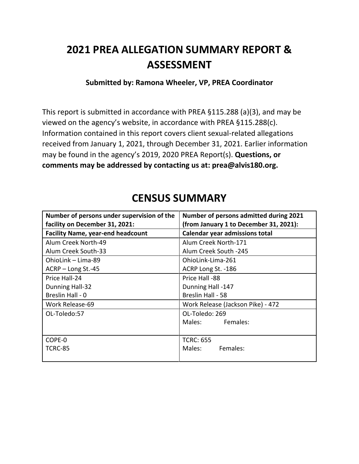# **2021 PREA ALLEGATION SUMMARY REPORT & ASSESSMENT**

### **Submitted by: Ramona Wheeler, VP, PREA Coordinator**

This report is submitted in accordance with PREA §115.288 (a)(3), and may be viewed on the agency's website, in accordance with PREA §115.288(c). Information contained in this report covers client sexual-related allegations received from January 1, 2021, through December 31, 2021. Earlier information may be found in the agency's 2019, 2020 PREA Report(s). **Questions, or comments may be addressed by contacting us at: prea@alvis180.org.**

| Number of persons under supervision of the<br>facility on December 31, 2021: | Number of persons admitted during 2021<br>(from January 1 to December 31, 2021): |
|------------------------------------------------------------------------------|----------------------------------------------------------------------------------|
| <b>Facility Name, year-end headcount</b>                                     | <b>Calendar year admissions total</b>                                            |
| Alum Creek North-49                                                          | Alum Creek North-171                                                             |
| Alum Creek South-33                                                          | Alum Creek South -245                                                            |
| OhioLink - Lima-89                                                           | OhioLink-Lima-261                                                                |
| ACRP - Long St.-45                                                           | ACRP Long St. -186                                                               |
| Price Hall-24                                                                | Price Hall -88                                                                   |
| Dunning Hall-32                                                              | Dunning Hall -147                                                                |
| Breslin Hall - 0                                                             | Breslin Hall - 58                                                                |
| Work Release-69                                                              | Work Release (Jackson Pike) - 472                                                |
| OL-Toledo:57                                                                 | OL-Toledo: 269                                                                   |
|                                                                              | Males: Females:                                                                  |
|                                                                              |                                                                                  |
| COPE-0                                                                       | <b>TCRC: 655</b>                                                                 |
| <b>TCRC-85</b>                                                               | Females:<br>Males:                                                               |
|                                                                              |                                                                                  |

### **CENSUS SUMMARY**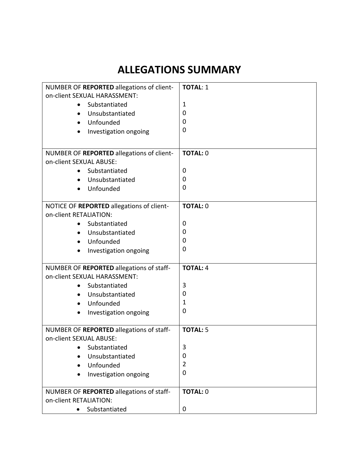## **ALLEGATIONS SUMMARY**

| NUMBER OF REPORTED allegations of client-                           | <b>TOTAL: 1</b> |
|---------------------------------------------------------------------|-----------------|
| on-client SEXUAL HARASSMENT:                                        |                 |
| Substantiated<br>$\bullet$                                          | 1               |
| Unsubstantiated<br>$\bullet$                                        | 0               |
| Unfounded                                                           | 0               |
| Investigation ongoing                                               | 0               |
|                                                                     |                 |
| NUMBER OF REPORTED allegations of client-                           | <b>TOTAL: 0</b> |
| on-client SEXUAL ABUSE:                                             |                 |
| Substantiated                                                       | 0               |
| Unsubstantiated<br>$\bullet$                                        | 0               |
| Unfounded                                                           | 0               |
|                                                                     |                 |
| NOTICE OF REPORTED allegations of client-                           | <b>TOTAL: 0</b> |
| on-client RETALIATION:                                              |                 |
| Substantiated                                                       | 0               |
| Unsubstantiated<br>$\bullet$                                        | 0               |
| Unfounded<br>$\bullet$                                              | 0               |
| Investigation ongoing<br>$\bullet$                                  | 0               |
|                                                                     |                 |
| NUMBER OF REPORTED allegations of staff-                            | <b>TOTAL: 4</b> |
| on-client SEXUAL HARASSMENT:                                        |                 |
| Substantiated<br>$\bullet$                                          | 3               |
| Unsubstantiated<br>$\bullet$                                        | 0               |
| Unfounded<br>$\bullet$                                              | 1               |
| Investigation ongoing                                               | 0               |
|                                                                     | <b>TOTAL: 5</b> |
| NUMBER OF REPORTED allegations of staff-<br>on-client SEXUAL ABUSE: |                 |
| Substantiated                                                       | 3               |
| Unsubstantiated                                                     | 0               |
| Unfounded                                                           | 2               |
|                                                                     | $\overline{0}$  |
| Investigation ongoing                                               |                 |
| NUMBER OF REPORTED allegations of staff-                            | <b>TOTAL: 0</b> |
| on-client RETALIATION:                                              |                 |
| Substantiated                                                       | 0               |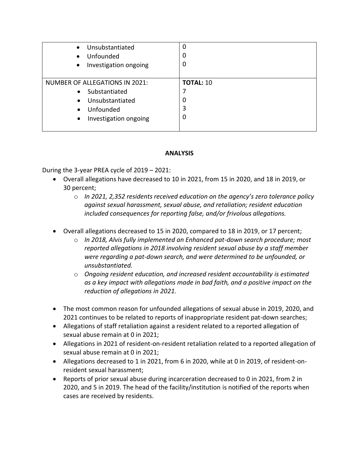| Unsubstantiated<br>$\bullet$<br>Unfounded<br>$\bullet$<br>Investigation ongoing<br>$\bullet$ | 0<br>0           |
|----------------------------------------------------------------------------------------------|------------------|
| <b>NUMBER OF ALLEGATIONS IN 2021:</b>                                                        | <b>TOTAL: 10</b> |
| Substantiated<br>$\bullet$                                                                   |                  |
| Unsubstantiated<br>$\bullet$                                                                 | 0                |
| Unfounded<br>$\bullet$                                                                       | 3                |
| Investigation ongoing<br>$\bullet$                                                           | 0                |

### **ANALYSIS**

During the 3-year PREA cycle of 2019 – 2021:

- Overall allegations have decreased to 10 in 2021, from 15 in 2020, and 18 in 2019, or 30 percent;
	- o *In 2021, 2,352 residents received education on the agency's zero tolerance policy against sexual harassment, sexual abuse, and retaliation; resident education included consequences for reporting false, and/or frivolous allegations.*
- Overall allegations decreased to 15 in 2020, compared to 18 in 2019, or 17 percent;
	- o *In 2018, Alvis fully implemented an Enhanced pat-down search procedure; most reported allegations in 2018 involving resident sexual abuse by a staff member were regarding a pat-down search, and were determined to be unfounded, or unsubstantiated.*
	- o *Ongoing resident education, and increased resident accountability is estimated as a key impact with allegations made in bad faith, and a positive impact on the reduction of allegations in 2021.*
- The most common reason for unfounded allegations of sexual abuse in 2019, 2020, and 2021 continues to be related to reports of inappropriate resident pat-down searches;
- Allegations of staff retaliation against a resident related to a reported allegation of sexual abuse remain at 0 in 2021;
- Allegations in 2021 of resident-on-resident retaliation related to a reported allegation of sexual abuse remain at 0 in 2021;
- Allegations decreased to 1 in 2021, from 6 in 2020, while at 0 in 2019, of resident-onresident sexual harassment;
- Reports of prior sexual abuse during incarceration decreased to 0 in 2021, from 2 in 2020, and 5 in 2019. The head of the facility/institution is notified of the reports when cases are received by residents.